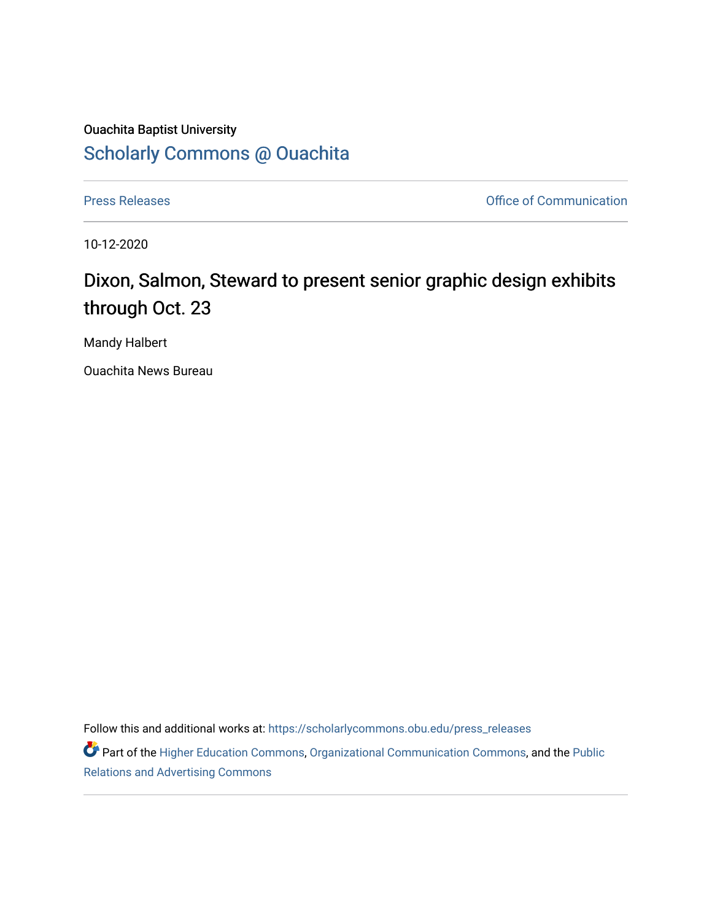## Ouachita Baptist University [Scholarly Commons @ Ouachita](https://scholarlycommons.obu.edu/)

[Press Releases](https://scholarlycommons.obu.edu/press_releases) **Press Releases Communication Press Releases Office of Communication** 

10-12-2020

## Dixon, Salmon, Steward to present senior graphic design exhibits through Oct. 23

Mandy Halbert

Ouachita News Bureau

Follow this and additional works at: [https://scholarlycommons.obu.edu/press\\_releases](https://scholarlycommons.obu.edu/press_releases?utm_source=scholarlycommons.obu.edu%2Fpress_releases%2F743&utm_medium=PDF&utm_campaign=PDFCoverPages)

Part of the [Higher Education Commons,](http://network.bepress.com/hgg/discipline/1245?utm_source=scholarlycommons.obu.edu%2Fpress_releases%2F743&utm_medium=PDF&utm_campaign=PDFCoverPages) [Organizational Communication Commons,](http://network.bepress.com/hgg/discipline/335?utm_source=scholarlycommons.obu.edu%2Fpress_releases%2F743&utm_medium=PDF&utm_campaign=PDFCoverPages) and the [Public](http://network.bepress.com/hgg/discipline/336?utm_source=scholarlycommons.obu.edu%2Fpress_releases%2F743&utm_medium=PDF&utm_campaign=PDFCoverPages) [Relations and Advertising Commons](http://network.bepress.com/hgg/discipline/336?utm_source=scholarlycommons.obu.edu%2Fpress_releases%2F743&utm_medium=PDF&utm_campaign=PDFCoverPages)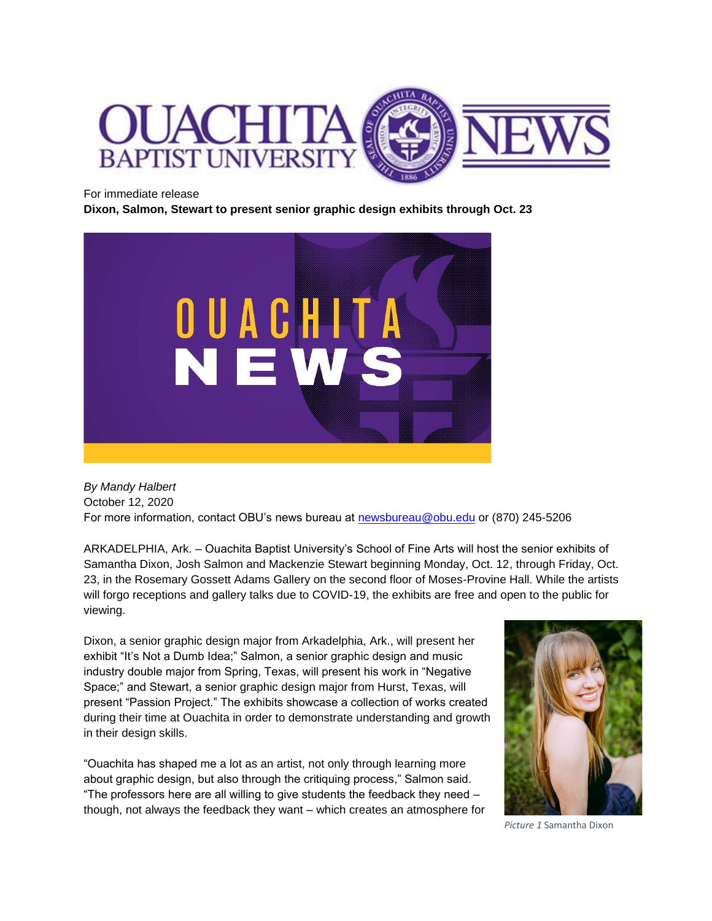

## For immediate release

**Dixon, Salmon, Stewart to present senior graphic design exhibits through Oct. 23**



*By Mandy Halbert* October 12, 2020 For more information, contact OBU's news bureau at [newsbureau@obu.edu](mailto:newsbureau@obu.edu) or (870) 245-5206

ARKADELPHIA, Ark. – Ouachita Baptist University's School of Fine Arts will host the senior exhibits of Samantha Dixon, Josh Salmon and Mackenzie Stewart beginning Monday, Oct. 12, through Friday, Oct. 23, in the Rosemary Gossett Adams Gallery on the second floor of Moses-Provine Hall. While the artists will forgo receptions and gallery talks due to COVID-19, the exhibits are free and open to the public for viewing.

Dixon, a senior graphic design major from Arkadelphia, Ark., will present her exhibit "It's Not a Dumb Idea;" Salmon, a senior graphic design and music industry double major from Spring, Texas, will present his work in "Negative Space;" and Stewart, a senior graphic design major from Hurst, Texas, will present "Passion Project." The exhibits showcase a collection of works created during their time at Ouachita in order to demonstrate understanding and growth in their design skills.

"Ouachita has shaped me a lot as an artist, not only through learning more about graphic design, but also through the critiquing process," Salmon said. "The professors here are all willing to give students the feedback they need – though, not always the feedback they want – which creates an atmosphere for



*Picture 1* Samantha Dixon